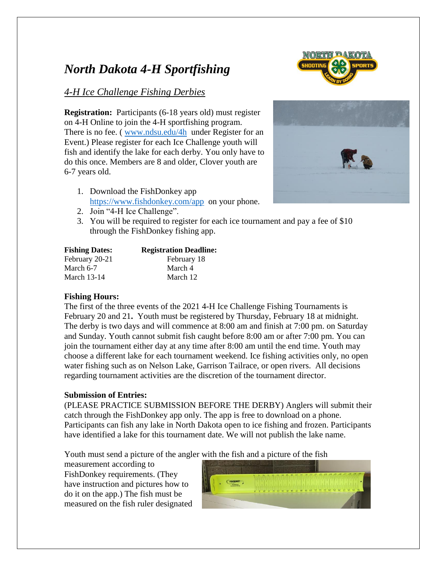# *North Dakota 4-H Sportfishing*

## *4-H Ice Challenge Fishing Derbies*

**Registration:** Participants (6-18 years old) must register on 4-H Online to join the 4-H sportfishing program. There is no fee. (*[www.ndsu.edu/4h](http://www.ndsu.edu/4h) under Register for an* Event.) Please register for each Ice Challenge youth will fish and identify the lake for each derby. You only have to do this once. Members are 8 and older, Clover youth are 6-7 years old.

- 1. Download the FishDonkey app <https://www.fishdonkey.com/app>on your phone.
- 2. Join "4-H Ice Challenge".
- 3. You will be required to register for each ice tournament and pay a fee of \$10 through the FishDonkey fishing app.

| <b>Fishing Dates:</b> | <b>Registration Deadline:</b> |
|-----------------------|-------------------------------|
| February 20-21        | February 18                   |
| March 6-7             | March 4                       |
| March 13-14           | March 12                      |

## **Fishing Hours:**

The first of the three events of the 2021 4-H Ice Challenge Fishing Tournaments is February 20 and 21**.** Youth must be registered by Thursday, February 18 at midnight. The derby is two days and will commence at 8:00 am and finish at 7:00 pm. on Saturday and Sunday. Youth cannot submit fish caught before 8:00 am or after 7:00 pm. You can join the tournament either day at any time after 8:00 am until the end time. Youth may choose a different lake for each tournament weekend. Ice fishing activities only, no open water fishing such as on Nelson Lake, Garrison Tailrace, or open rivers. All decisions regarding tournament activities are the discretion of the tournament director.

## **Submission of Entries:**

(PLEASE PRACTICE SUBMISSION BEFORE THE DERBY) Anglers will submit their catch through the FishDonkey app only. The app is free to download on a phone. Participants can fish any lake in North Dakota open to ice fishing and frozen. Participants have identified a lake for this tournament date. We will not publish the lake name.

Youth must send a picture of the angler with the fish and a picture of the fish

measurement according to FishDonkey requirements. (They have instruction and pictures how to do it on the app.) The fish must be measured on the fish ruler designated





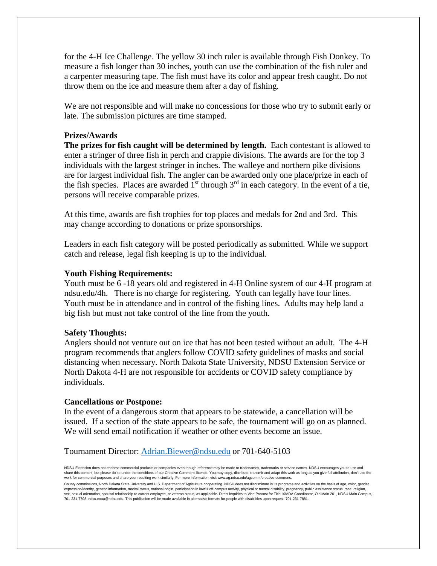for the 4-H Ice Challenge. The yellow 30 inch ruler is available through Fish Donkey. To measure a fish longer than 30 inches, youth can use the combination of the fish ruler and a carpenter measuring tape. The fish must have its color and appear fresh caught. Do not throw them on the ice and measure them after a day of fishing.

We are not responsible and will make no concessions for those who try to submit early or late. The submission pictures are time stamped.

#### **Prizes/Awards**

**The prizes for fish caught will be determined by length.** Each contestant is allowed to enter a stringer of three fish in perch and crappie divisions. The awards are for the top 3 individuals with the largest stringer in inches. The walleye and northern pike divisions are for largest individual fish. The angler can be awarded only one place/prize in each of the fish species. Places are awarded  $1<sup>st</sup>$  through  $3<sup>rd</sup>$  in each category. In the event of a tie, persons will receive comparable prizes.

At this time, awards are fish trophies for top places and medals for 2nd and 3rd. This may change according to donations or prize sponsorships.

Leaders in each fish category will be posted periodically as submitted. While we support catch and release, legal fish keeping is up to the individual.

#### **Youth Fishing Requirements:**

Youth must be 6 -18 years old and registered in 4-H Online system of our 4-H program at ndsu.edu/4h. There is no charge for registering. Youth can legally have four lines. Youth must be in attendance and in control of the fishing lines. Adults may help land a big fish but must not take control of the line from the youth.

#### **Safety Thoughts:**

Anglers should not venture out on ice that has not been tested without an adult. The 4-H program recommends that anglers follow COVID safety guidelines of masks and social distancing when necessary. North Dakota State University, NDSU Extension Service or North Dakota 4-H are not responsible for accidents or COVID safety compliance by individuals.

#### **Cancellations or Postpone:**

In the event of a dangerous storm that appears to be statewide, a cancellation will be issued. If a section of the state appears to be safe, the tournament will go on as planned. We will send email notification if weather or other events become an issue.

#### Tournament Director: [Adrian.Biewer@ndsu.edu](mailto:Adrian.Biewer@ndsu.edu) or 701-640-5103

NDSU Extension does not endorse commercial products or companies even though reference may be made to tradenames, trademarks or service names. NDSU encourages you to use and share this content, but please do so under the conditions of our Creative Commons license. You may copy, distribute, transmit and adapt this work as long as you give full attribution, don't use the work for commercial purposes and share your resulting work similarly. For more information, visit www.ag.ndsu.edu/agcomm/creative-commons.

County commissions, North Dakota State University and U.S. Department of Agriculture cooperating. NDSU does not discriminate in its programs and activities on the basis of age, color, gender expression/identity, genetic information, marital status, national origin, participation in lawful off-campus activity, physical or mental disability, pregnancy, public assistance status, race, religion, sex, sexual orientation, spousal relationship to current employee, or veteran status, as applicable. Direct inquiries to Vice Provost for Title IX/ADA Coordinator, Old Main 201, NDSU Main Campus, 701-231-7708, ndsu.eoaa@ndsu.edu. This publication will be made available in alternative formats for people with disabilities upon request, 701-231-7881.